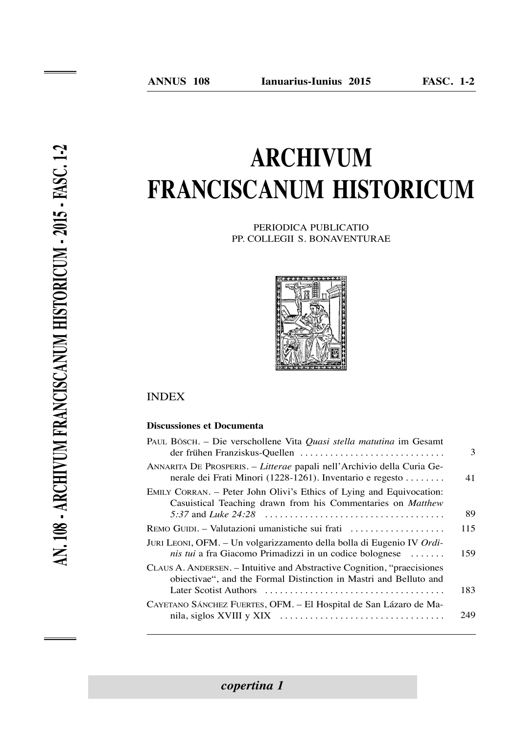# **Archivum frANciscANum historicum**

Periodica PuBlicatio PP. colleGii s. BonaVenturae



# **INDEX**

## **Discussiones et Documenta**

| PAUL BÖSCH. – Die verschollene Vita Quasi stella matutina im Gesamt<br>der frühen Franziskus-Quellen                                                              | 3   |
|-------------------------------------------------------------------------------------------------------------------------------------------------------------------|-----|
| ANNARITA DE PROSPERIS. - Litterae papali nell'Archivio della Curia Ge-<br>nerale dei Frati Minori (1228-1261). Inventario e regesto                               | 41  |
| EMILY CORRAN. – Peter John Olivi's Ethics of Lying and Equivocation:<br>Casuistical Teaching drawn from his Commentaries on Matthew<br>5:37 and <i>Luke</i> 24:28 | 89  |
| REMO GUIDI. – Valutazioni umanistiche sui frati                                                                                                                   | 115 |
| JURI LEONI, OFM. - Un volgarizzamento della bolla di Eugenio IV Ordi-<br><i>nis tui</i> a fra Giacomo Primadizzi in un codice bolognese $\dots$                   | 159 |
| CLAUS A. ANDERSEN. – Intuitive and Abstractive Cognition, "praecisiones"<br>obiectivae", and the Formal Distinction in Mastri and Belluto and                     | 183 |
| CAYETANO SÁNCHEZ FUERTES, OFM. - El Hospital de San Lázaro de Ma-                                                                                                 | 249 |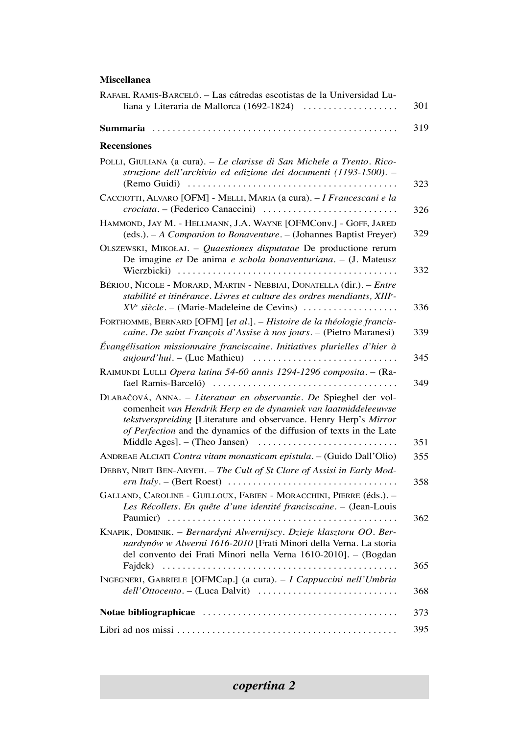## **miscellanea**

| RAFAEL RAMIS-BARCELÓ. – Las cátredas escotistas de la Universidad Lu-<br>liana y Literaria de Mallorca (1692-1824)                                                                                                                                                                | 301 |
|-----------------------------------------------------------------------------------------------------------------------------------------------------------------------------------------------------------------------------------------------------------------------------------|-----|
|                                                                                                                                                                                                                                                                                   | 319 |
| <b>Recensiones</b>                                                                                                                                                                                                                                                                |     |
| POLLI, GIULIANA (a cura). - Le clarisse di San Michele a Trento. Rico-<br>struzione dell'archivio ed edizione dei documenti (1193-1500). -                                                                                                                                        | 323 |
| CACCIOTTI, ALVARO [OFM] - MELLI, MARIA (a cura). - I Francescani e la<br>crociata. – (Federico Canaccini)                                                                                                                                                                         | 326 |
| HAMMOND, JAY M. - HELLMANN, J.A. WAYNE [OFMConv.] - GOFF, JARED<br>(eds.). - A Companion to Bonaventure. - (Johannes Baptist Freyer)                                                                                                                                              | 329 |
| OLSZEWSKI, MIKOŁAJ. - Quaestiones disputatae De productione rerum<br>De imagine et De anima e schola bonaventuriana. - (J. Mateusz                                                                                                                                                | 332 |
| BÉRIOU, NICOLE - MORARD, MARTIN - NEBBIAI, DONATELLA (dir.). - Entre<br>stabilité et itinérance. Livres et culture des ordres mendiants, XIIIe-<br>$XVe siècle. - (Marie-Madeleine de Cevins)    $                                                                                | 336 |
| FORTHOMME, BERNARD [OFM] [et al.]. - Histoire de la théologie francis-<br>caine. De saint François d'Assise à nos jours. - (Pietro Maranesi)                                                                                                                                      | 339 |
| Évangélisation missionnaire franciscaine. Initiatives plurielles d'hier à<br><i>aujourd'hui.</i> $-$ (Luc Mathieu) $ \dots  \dots  \dots $                                                                                                                                        | 345 |
| RAIMUNDI LULLI Opera latina 54-60 annis 1294-1296 composita. - (Ra-                                                                                                                                                                                                               | 349 |
| DLABAČOVÁ, ANNA. - Literatuur en observantie. De Spieghel der vol-<br>comenheit van Hendrik Herp en de dynamiek van laatmiddeleeuwse<br>tekstverspreiding [Literature and observance. Henry Herp's Mirror<br>of Perfection and the dynamics of the diffusion of texts in the Late | 351 |
| ANDREAE ALCIATI Contra vitam monasticam epistula. - (Guido Dall'Olio)                                                                                                                                                                                                             | 355 |
| DEBBY, NIRIT BEN-ARYEH. - The Cult of St Clare of Assisi in Early Mod-                                                                                                                                                                                                            | 358 |
| GALLAND, CAROLINE - GUILLOUX, FABIEN - MORACCHINI, PIERRE (éds.). -<br>Les Récollets. En quête d'une identité franciscaine. - (Jean-Louis                                                                                                                                         | 362 |
| KNAPIK, DOMINIK. - Bernardyni Alwernijscy. Dzieje klasztoru OO. Ber-<br>nardynów w Alwerni 1616-2010 [Frati Minori della Verna. La storia<br>del convento dei Frati Minori nella Verna 1610-20101. – (Bogdan                                                                      | 365 |
| INGEGNERI, GABRIELE [OFMCap.] (a cura). - I Cappuccini nell'Umbria                                                                                                                                                                                                                | 368 |
|                                                                                                                                                                                                                                                                                   | 373 |
|                                                                                                                                                                                                                                                                                   | 395 |

*copertina 2*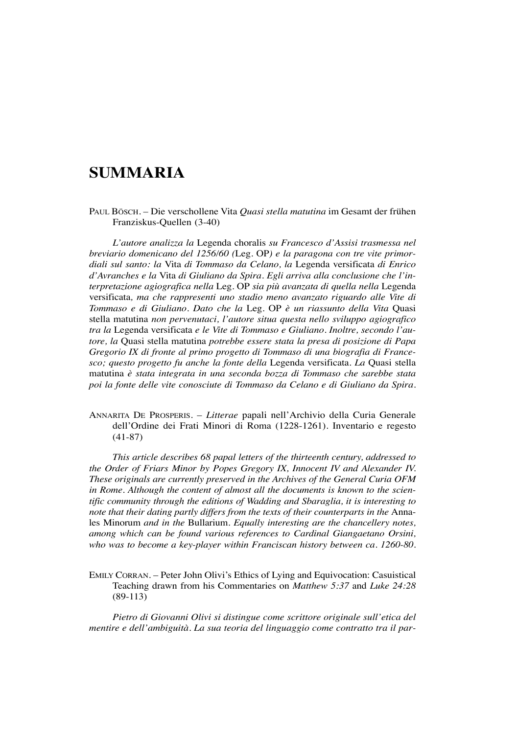# **summaria**

Paul Bösch. – Die verschollene Vita *Quasi stella matutina* im Gesamt der frühen Franziskus-Quellen (3-40)

*L'autore analizza la* legenda choralis *su Francesco d'Assisi trasmessa nel breviario domenicano del 1256/60 (*leg. OP*) e la paragona con tre vite primordiali sul santo: la* Vita *di Tommaso da Celano, la* legenda versificata *di Enrico d'Avranches e la* Vita *di Giuliano da Spira. Egli arriva alla conclusione che l'interpretazione agiografica nella* leg. OP *sia più avanzata di quella nella* legenda versificata*, ma che rappresenti uno stadio meno avanzato riguardo alle Vite di Tommaso e di Giuliano. Dato che la* leg. OP *è un riassunto della Vita* Quasi stella matutina *non pervenutaci, l'autore situa questa nello sviluppo agiografico tra la* legenda versificata *e le Vite di Tommaso e Giuliano. Inoltre, secondo l'autore, la* Quasi stella matutina *potrebbe essere stata la presa di posizione di Papa Gregorio IX di fronte al primo progetto di Tommaso di una biografia di Francesco; questo progetto fu anche la fonte della* legenda versificata*. La* Quasi stella matutina *è stata integrata in una seconda bozza di Tommaso che sarebbe stata poi la fonte delle vite conosciute di Tommaso da Celano e di Giuliano da Spira.*

ANNARITA DE PROSPERIS. - Litterae papali nell'Archivio della Curia Generale dell'Ordine dei Frati Minori di Roma (1228-1261). Inventario e regesto (41-87)

*This article describes 68 papal letters of the thirteenth century, addressed to the Order of Friars Minor by Popes Gregory IX, Innocent IV and Alexander IV. These originals are currently preserved in the Archives of the General Curia OFM in Rome. Although the content of almost all the documents is known to the scientific community through the editions of Wadding and Sbaraglia, it is interesting to note that their dating partly differs from the texts of their counterparts in the Anna*les Minorum *and in the* Bullarium*. Equally interesting are the chancellery notes, among which can be found various references to Cardinal Giangaetano Orsini, who was to become a key-player within Franciscan history between ca. 1260-80.*

EMILY CORRAN. – Peter John Olivi's Ethics of Lying and Equivocation: Casuistical teaching drawn from his commentaries on *Matthew 5:37* and *Luke 24:28* (89-113)

*Pietro di Giovanni Olivi si distingue come scrittore originale sull'etica del mentire e dell'ambiguità. La sua teoria del linguaggio come contratto tra il par-*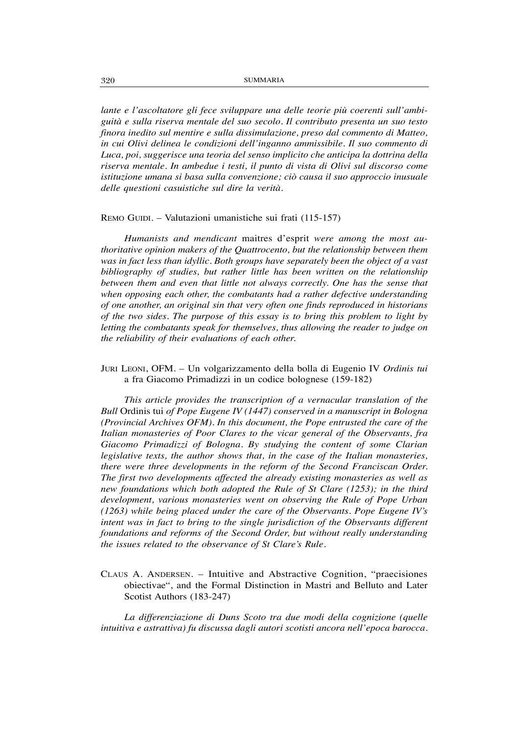*lante e l'ascoltatore gli fece sviluppare una delle teorie più coerenti sull'ambiguità e sulla riserva mentale del suo secolo. Il contributo presenta un suo testo finora inedito sul mentire e sulla dissimulazione, preso dal commento di Matteo, in cui Olivi delinea le condizioni dell'inganno ammissibile. Il suo commento di Luca, poi, suggerisce una teoria del senso implicito che anticipa la dottrina della riserva mentale. In ambedue i testi, il punto di vista di Olivi sul discorso come istituzione umana si basa sulla convenzione; ciò causa il suo approccio inusuale delle questioni casuistiche sul dire la verità.*

#### REMO GUIDI. – Valutazioni umanistiche sui frati (115-157)

*Humanists and mendicant* maitres d'esprit *were among the most authoritative opinion makers of the Quattrocento, but the relationship between them was in fact less than idyllic. Both groups have separately been the object of a vast bibliography of studies, but rather little has been written on the relationship between them and even that little not always correctly. One has the sense that when opposing each other, the combatants had a rather defective understanding of one another, an original sin that very often one finds reproduced in historians of the two sides. The purpose of this essay is to bring this problem to light by letting the combatants speak for themselves, thus allowing the reader to judge on the reliability of their evaluations of each other.*

Juri Leoni, OFM. – Un volgarizzamento della bolla di Eugenio IV *Ordinis tui* a fra Giacomo Primadizzi in un codice bolognese (159-182)

*This article provides the transcription of a vernacular translation of the Bull* Ordinis tui *of Pope Eugene IV (1447) conserved in a manuscript in Bologna (Provincial Archives OFM). In this document, the Pope entrusted the care of the Italian monasteries of Poor Clares to the vicar general of the Observants, fra Giacomo Primadizzi of Bologna. By studying the content of some Clarian legislative texts, the author shows that, in the case of the Italian monasteries, there were three developments in the reform of the Second Franciscan Order. The first two developments affected the already existing monasteries as well as new foundations which both adopted the Rule of St Clare (1253); in the third development, various monasteries went on observing the Rule of Pope Urban (1263) while being placed under the care of the Observants. Pope Eugene IV's intent was in fact to bring to the single jurisdiction of the Observants different foundations and reforms of the Second Order, but without really understanding the issues related to the observance of St Clare's Rule.*

claus a. anDersen. – intuitive and abstractive cognition, "praecisiones obiectivae", and the Formal Distinction in Mastri and Belluto and later Scotist Authors (183-247)

*La differenziazione di Duns Scoto tra due modi della cognizione (quelle intuitiva e astrattiva) fu discussa dagli autori scotisti ancora nell'epoca barocca.*